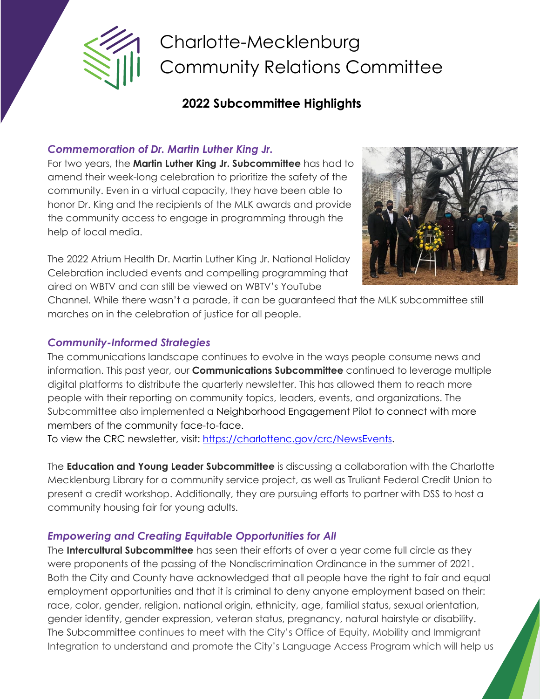

# Charlotte-Mecklenburg Community Relations Committee

## **2022 Subcommittee Highlights**

#### *Commemoration of Dr. Martin Luther King Jr.*

For two years, the **Martin Luther King Jr. Subcommittee** has had to amend their week-long celebration to prioritize the safety of the community. Even in a virtual capacity, they have been able to honor Dr. King and the recipients of the MLK awards and provide the community access to engage in programming through the help of local media.

The 2022 Atrium Health Dr. Martin Luther King Jr. National Holiday Celebration included events and compelling programming that aired on WBTV and can still be viewed on WBTV's YouTube



Channel. While there wasn't a parade, it can be guaranteed that the MLK subcommittee still marches on in the celebration of justice for all people.

#### *Community-Informed Strategies*

The communications landscape continues to evolve in the ways people consume news and information. This past year, our **Communications Subcommittee** continued to leverage multiple digital platforms to distribute the quarterly newsletter. This has allowed them to reach more people with their reporting on community topics, leaders, events, and organizations. The Subcommittee also implemented a Neighborhood Engagement Pilot to connect with more members of the community face-to-face.

To view the CRC newsletter, visit: [https://charlottenc.gov/crc/NewsEvents.](https://charlottenc.gov/crc/NewsEvents)

The **Education and Young Leader Subcommittee** is discussing a collaboration with the Charlotte Mecklenburg Library for a community service project, as well as Truliant Federal Credit Union to present a credit workshop. Additionally, they are pursuing efforts to partner with DSS to host a community housing fair for young adults.

### *Empowering and Creating Equitable Opportunities for All*

The **Intercultural Subcommittee** has seen their efforts of over a year come full circle as they were proponents of the passing of the Nondiscrimination Ordinance in the summer of 2021. Both the City and County have acknowledged that all people have the right to fair and equal employment opportunities and that it is criminal to deny anyone employment based on their: race, color, gender, religion, national origin, ethnicity, age, familial status, sexual orientation, gender identity, gender expression, veteran status, pregnancy, natural hairstyle or disability. The Subcommittee continues to meet with the City's Office of Equity, Mobility and Immigrant Integration to understand and promote the City's Language Access Program which will help us